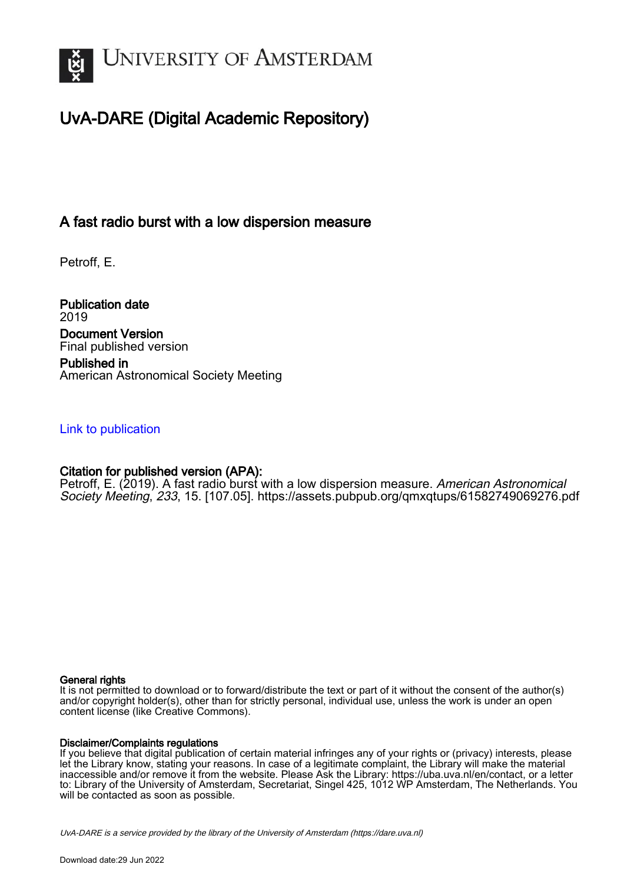

# UvA-DARE (Digital Academic Repository)

# A fast radio burst with a low dispersion measure

Petroff, E.

Publication date 2019 Document Version Final published version Published in American Astronomical Society Meeting

### [Link to publication](https://dare.uva.nl/personal/pure/en/publications/a-fast-radio-burst-with-a-low-dispersion-measure(1989c2dc-3ffe-4205-a535-d38b9f93f803).html)

## Citation for published version (APA):

Petroff, E. (2019). A fast radio burst with a low dispersion measure. American Astronomical Society Meeting, 233, 15. [107.05]. <https://assets.pubpub.org/qmxqtups/61582749069276.pdf>

#### General rights

It is not permitted to download or to forward/distribute the text or part of it without the consent of the author(s) and/or copyright holder(s), other than for strictly personal, individual use, unless the work is under an open content license (like Creative Commons).

#### Disclaimer/Complaints regulations

If you believe that digital publication of certain material infringes any of your rights or (privacy) interests, please let the Library know, stating your reasons. In case of a legitimate complaint, the Library will make the material inaccessible and/or remove it from the website. Please Ask the Library: https://uba.uva.nl/en/contact, or a letter to: Library of the University of Amsterdam, Secretariat, Singel 425, 1012 WP Amsterdam, The Netherlands. You will be contacted as soon as possible.

UvA-DARE is a service provided by the library of the University of Amsterdam (http*s*://dare.uva.nl)